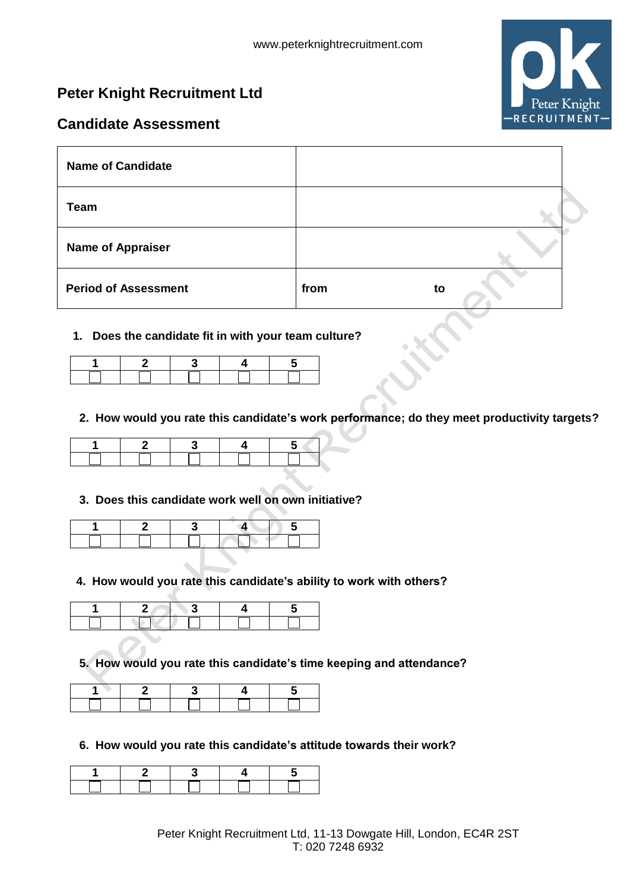# **Peter Knight Recruitment Ltd**



# **Candidate Assessment**

| <b>Name of Candidate</b>    |      |    |
|-----------------------------|------|----|
| <b>Team</b>                 |      |    |
| <b>Name of Appraiser</b>    |      |    |
| <b>Period of Assessment</b> | from | to |

## **1***.* **Does the candidate fit in with your team culture?**

# **2. How would you rate this candidate's work performance; do they meet productivity targets?**

#### **3. Does this candidate work well on own initiative?**

# **4. How would you rate this candidate's ability to work with others?**

**5. How would you rate this candidate's time keeping and attendance?**

**6. How would you rate this candidate's attitude towards their work?**